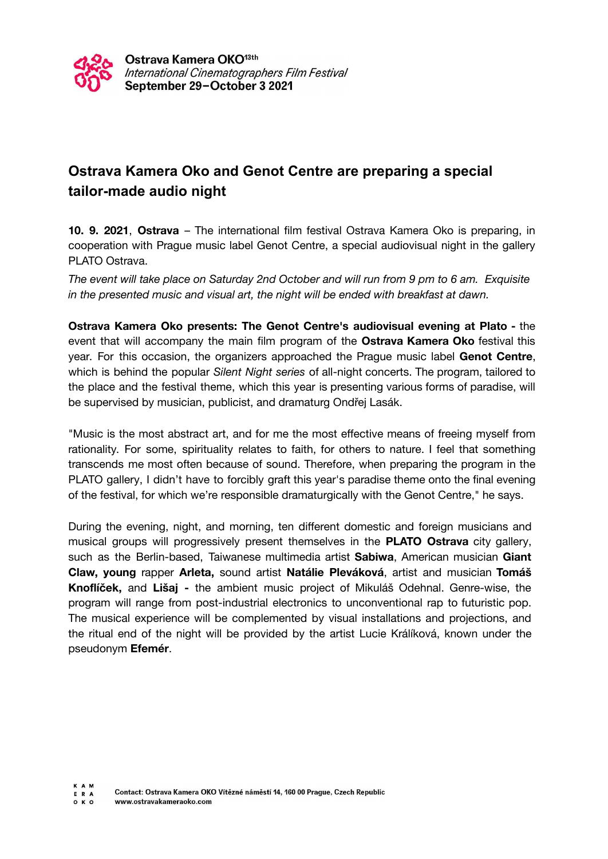

## **Ostrava Kamera Oko and Genot Centre are preparing a special tailor-made audio night**

**10. 9. 2021**, **Ostrava** – The international film festival Ostrava Kamera Oko is preparing, in cooperation with Prague music label Genot Centre, a special audiovisual night in the gallery PLATO Ostrava.

*The event will take place on Saturday 2nd October and will run from 9 pm to 6 am. Exquisite in the presented music and visual art, the night will be ended with breakfast at dawn.*

**Ostrava Kamera Oko presents: The Genot Centre's audiovisual evening at Plato -** the event that will accompany the main film program of the **Ostrava Kamera Oko** festival this year. For this occasion, the organizers approached the Prague music label **Genot Centre**, which is behind the popular *Silent Night series* of all-night concerts. The program, tailored to the place and the festival theme, which this year is presenting various forms of paradise, will be supervised by musician, publicist, and dramaturg Ondřej Lasák.

"Music is the most abstract art, and for me the most effective means of freeing myself from rationality. For some, spirituality relates to faith, for others to nature. I feel that something transcends me most often because of sound. Therefore, when preparing the program in the PLATO gallery, I didn't have to forcibly graft this year's paradise theme onto the final evening of the festival, for which we're responsible dramaturgically with the Genot Centre," he says.

During the evening, night, and morning, ten different domestic and foreign musicians and musical groups will progressively present themselves in the **PLATO Ostrava** city gallery, such as the Berlin-based, Taiwanese multimedia artist **Sabiwa**, American musician **Giant Claw, young** rapper **Arleta,** sound artist **Natálie Pleváková**, artist and musician **Tomáš Knoflíček,** and **Lišaj -** the ambient music project of Mikuláš Odehnal. Genre-wise, the program will range from post-industrial electronics to unconventional rap to futuristic pop. The musical experience will be complemented by visual installations and projections, and the ritual end of the night will be provided by the artist Lucie Králíková, known under the pseudonym **Efemér**.